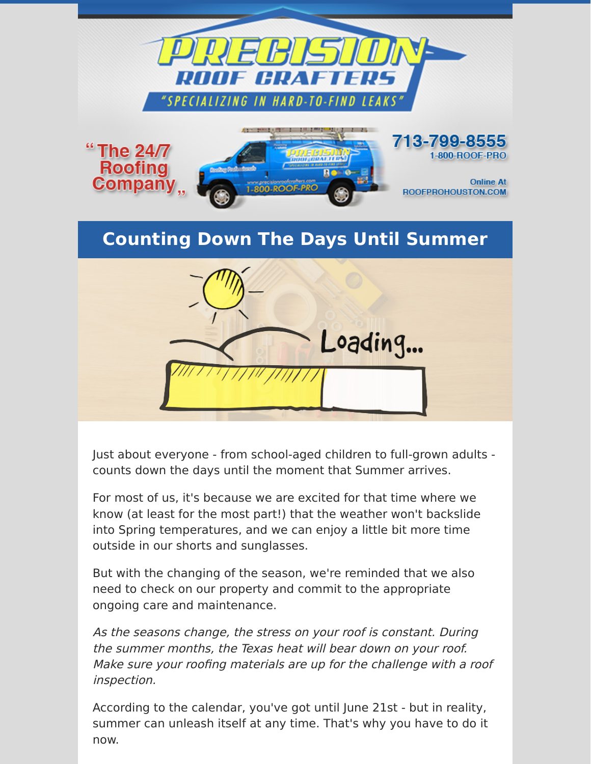

Just about everyone - from school-aged children to full-grown adults counts down the days until the moment that Summer arrives.

For most of us, it's because we are excited for that time where we know (at least for the most part!) that the weather won't backslide into Spring temperatures, and we can enjoy a little bit more time outside in our shorts and sunglasses.

But with the changing of the season, we're reminded that we also need to check on our property and commit to the appropriate ongoing care and maintenance.

As the seasons change, the stress on your roof is constant. During the summer months, the Texas heat will bear down on your roof. Make sure your roofing materials are up for the challenge with a roof inspection.

According to the calendar, you've got until June 21st - but in reality, summer can unleash itself at any time. That's why you have to do it now.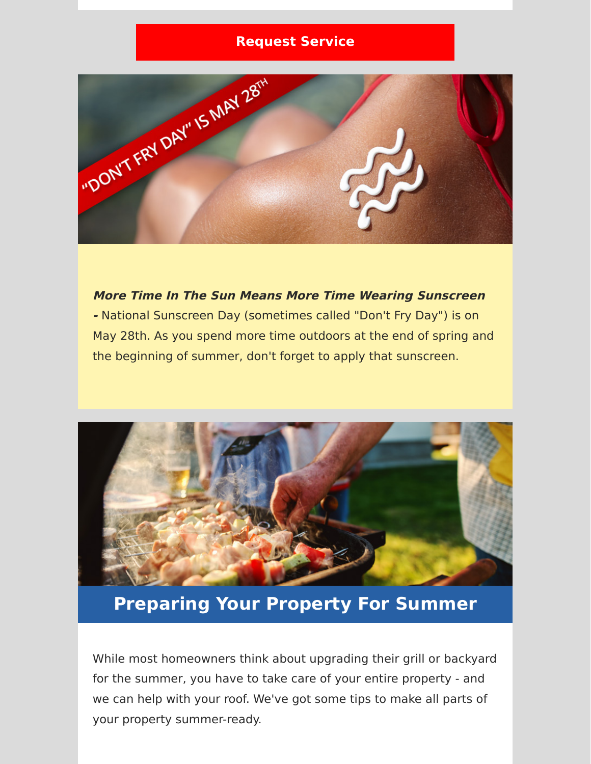## **[Request Service](https://www.precisionroofcrafters.com/contact-us.php)**



**More Time In The Sun Means More Time Wearing Sunscreen -** National Sunscreen Day (sometimes called "Don't Fry Day") is on May 28th. As you spend more time outdoors at the end of spring and the beginning of summer, don't forget to apply that sunscreen.



## **Preparing Your Property For Summer**

While most homeowners think about upgrading their grill or backyard for the summer, you have to take care of your entire property - and we can help with your roof. We've got some tips to make all parts of your property summer-ready.